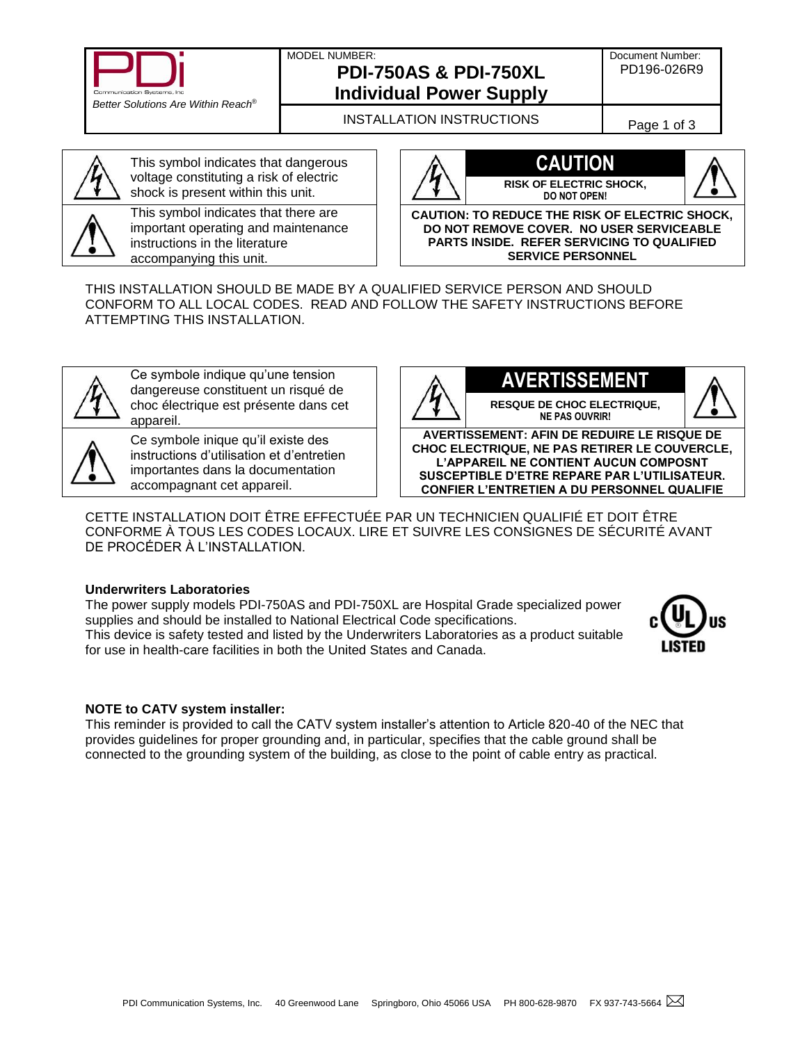

### MODEL NUMBER: **PDI-750AS & PDI-750XL**

Document Number: PD196-026R9

# **Individual Power Supply** INSTALLATION INSTRUCTIONS Page 1 of 3



This symbol indicates that dangerous voltage constituting a risk of electric shock is present within this unit.

This symbol indicates that there are important operating and maintenance instructions in the literature accompanying this unit.





**CAUTION: TO REDUCE THE RISK OF ELECTRIC SHOCK, DO NOT REMOVE COVER. NO USER SERVICEABLE PARTS INSIDE. REFER SERVICING TO QUALIFIED SERVICE PERSONNEL**

THIS INSTALLATION SHOULD BE MADE BY A QUALIFIED SERVICE PERSON AND SHOULD CONFORM TO ALL LOCAL CODES. READ AND FOLLOW THE SAFETY INSTRUCTIONS BEFORE ATTEMPTING THIS INSTALLATION.



Ce symbole indique qu'une tension dangereuse constituent un risqué de choc électrique est présente dans cet appareil.



Ce symbole inique qu'il existe des instructions d'utilisation et d'entretien importantes dans la documentation accompagnant cet appareil.



**RESQUE DE CHOC ELECTRIQUE, NE PAS OUVRIR!**



**AVERTISSEMENT: AFIN DE REDUIRE LE RISQUE DE CHOC ELECTRIQUE, NE PAS RETIRER LE COUVERCLE, L'APPAREIL NE CONTIENT AUCUN COMPOSNT SUSCEPTIBLE D'ETRE REPARE PAR L'UTILISATEUR. CONFIER L'ENTRETIEN A DU PERSONNEL QUALIFIE**

CETTE INSTALLATION DOIT ÊTRE EFFECTUÉE PAR UN TECHNICIEN QUALIFIÉ ET DOIT ÊTRE CONFORME À TOUS LES CODES LOCAUX. LIRE ET SUIVRE LES CONSIGNES DE SÉCURITÉ AVANT DE PROCÉDER À L'INSTALLATION.

### **Underwriters Laboratories**

The power supply models PDI-750AS and PDI-750XL are Hospital Grade specialized power supplies and should be installed to National Electrical Code specifications. This device is safety tested and listed by the Underwriters Laboratories as a product suitable for use in health-care facilities in both the United States and Canada.



### **NOTE to CATV system installer:**

This reminder is provided to call the CATV system installer's attention to Article 820-40 of the NEC that provides guidelines for proper grounding and, in particular, specifies that the cable ground shall be connected to the grounding system of the building, as close to the point of cable entry as practical.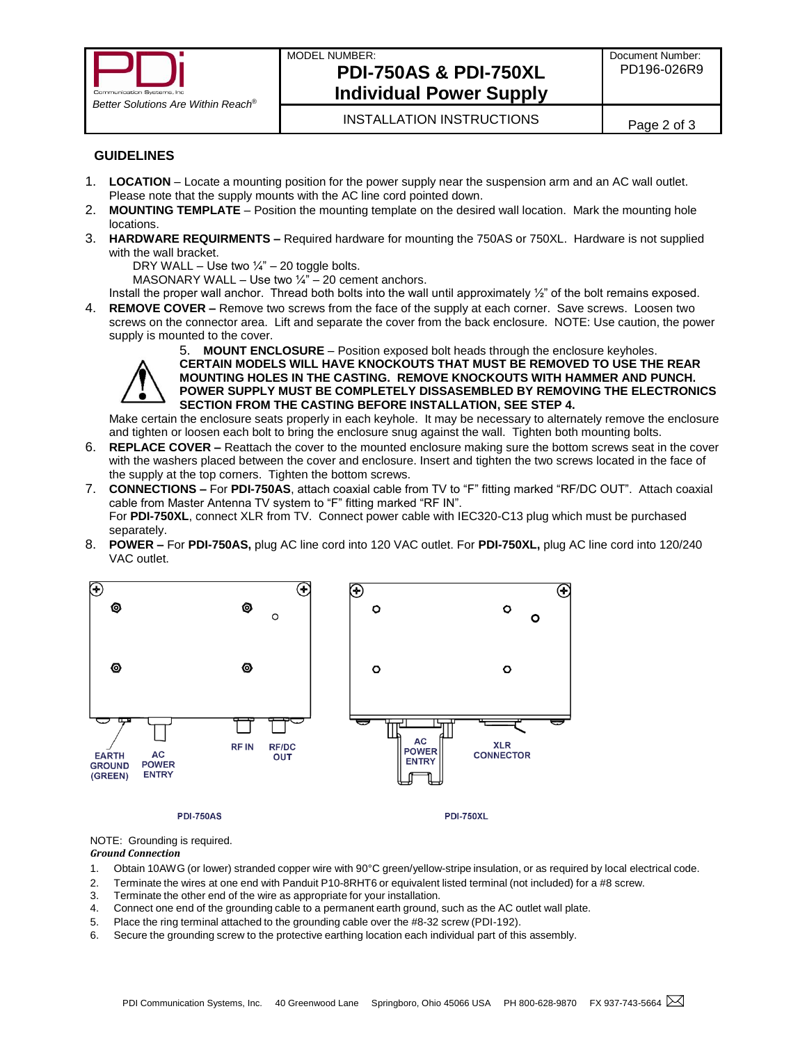

## MODEL NUMBER: **PDI-750AS & PDI-750XL Individual Power Supply**

### **GUIDELINES**

- 1. **LOCATION** Locate a mounting position for the power supply near the suspension arm and an AC wall outlet. Please note that the supply mounts with the AC line cord pointed down.
- 2. **MOUNTING TEMPLATE** Position the mounting template on the desired wall location. Mark the mounting hole locations.
- 3. **HARDWARE REQUIRMENTS –** Required hardware for mounting the 750AS or 750XL. Hardware is not supplied with the wall bracket.
	- DRY WALL Use two  $\frac{1}{4}$ " 20 toggle bolts.

MASONARY WALL – Use two  $\frac{1}{4}$ " – 20 cement anchors.

Install the proper wall anchor. Thread both bolts into the wall until approximately ½" of the bolt remains exposed.

4. **REMOVE COVER –** Remove two screws from the face of the supply at each corner. Save screws. Loosen two screws on the connector area. Lift and separate the cover from the back enclosure. NOTE: Use caution, the power supply is mounted to the cover.



5. **MOUNT ENCLOSURE** – Position exposed bolt heads through the enclosure keyholes. **CERTAIN MODELS WILL HAVE KNOCKOUTS THAT MUST BE REMOVED TO USE THE REAR MOUNTING HOLES IN THE CASTING. REMOVE KNOCKOUTS WITH HAMMER AND PUNCH. POWER SUPPLY MUST BE COMPLETELY DISSASEMBLED BY REMOVING THE ELECTRONICS SECTION FROM THE CASTING BEFORE INSTALLATION, SEE STEP 4.**

Make certain the enclosure seats properly in each keyhole. It may be necessary to alternately remove the enclosure and tighten or loosen each bolt to bring the enclosure snug against the wall. Tighten both mounting bolts.

- 6. **REPLACE COVER –** Reattach the cover to the mounted enclosure making sure the bottom screws seat in the cover with the washers placed between the cover and enclosure. Insert and tighten the two screws located in the face of the supply at the top corners. Tighten the bottom screws.
- 7. **CONNECTIONS –** For **PDI-750AS**, attach coaxial cable from TV to "F" fitting marked "RF/DC OUT".Attach coaxial cable from Master Antenna TV system to "F" fitting marked "RF IN". For **PDI-750XL**, connect XLR from TV. Connect power cable with IEC320-C13 plug which must be purchased separately.
- 8. **POWER –** For **PDI-750AS,** plug AC line cord into 120 VAC outlet. For **PDI-750XL,** plug AC line cord into 120/240 VAC outlet.



#### **PDI-750AS**

NOTE: Grounding is required.

#### *Ground Connection*

- 1. Obtain 10AWG (or lower) stranded copper wire with 90°C green/yellow-stripe insulation, or as required by local electrical code.
- 2. Terminate the wires at one end with Panduit P10-8RHT6 or equivalent listed terminal (not included) for a #8 screw.
- 3. Terminate the other end of the wire as appropriate for your installation.
- 4. Connect one end of the grounding cable to a permanent earth ground, such as the AC outlet wall plate.
- 5. Place the ring terminal attached to the grounding cable over the #8-32 screw (PDI-192).
- 6. Secure the grounding screw to the protective earthing location each individual part of this assembly.